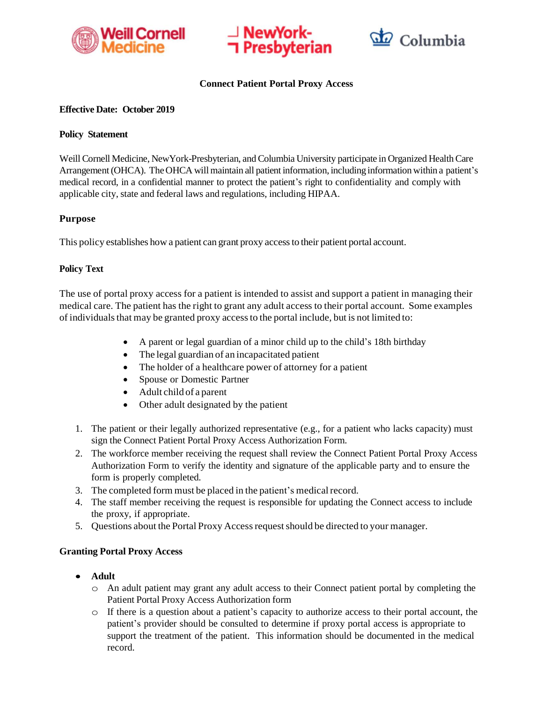





## **Connect Patient Portal Proxy Access**

#### **Effective Date: October 2019**

## **Policy Statement**

Weill Cornell Medicine, NewYork-Presbyterian, and Columbia University participate in Organized Health Care Arrangement (OHCA). The OHCA will maintain all patient information, including information within a patient's medical record, in a confidential manner to protect the patient's right to confidentiality and comply with applicable city, state and federal laws and regulations, including HIPAA.

# **Purpose**

This policy establishes how a patient can grant proxy accessto their patient portal account.

## **Policy Text**

The use of portal proxy access for a patient is intended to assist and support a patient in managing their medical care. The patient has the right to grant any adult access to their portal account. Some examples of individualsthat may be granted proxy accessto the portal include, but is not limited to:

- A parent or legal guardian of a minor child up to the child's 18th birthday
- The legal guardian of an incapacitated patient
- The holder of a healthcare power of attorney for a patient
- Spouse or Domestic Partner
- Adult child of a parent
- Other adult designated by the patient
- 1. The patient or their legally authorized representative (e.g., for a patient who lacks capacity) must sign the Connect Patient Portal Proxy Access Authorization Form.
- 2. The workforce member receiving the request shall review the Connect Patient Portal Proxy Access Authorization Form to verify the identity and signature of the applicable party and to ensure the form is properly completed.
- 3. The completed form must be placed in the patient's medical record.
- 4. The staff member receiving the request is responsible for updating the Connect access to include the proxy, if appropriate.
- 5. Questions about the Portal Proxy Accessrequestshould be directed to your manager.

#### **Granting Portal Proxy Access**

- **Adult**
	- o An adult patient may grant any adult access to their Connect patient portal by completing the Patient Portal Proxy Access Authorization form
	- $\circ$  If there is a question about a patient's capacity to authorize access to their portal account, the patient's provider should be consulted to determine if proxy portal access is appropriate to support the treatment of the patient. This information should be documented in the medical record.